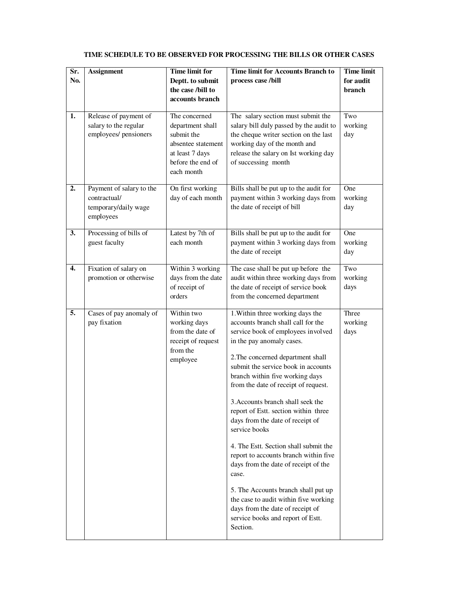| Sr.<br>No. | <b>Assignment</b>                                                             | <b>Time limit for</b><br>Deptt. to submit<br>the case /bill to<br>accounts branch                                           | <b>Time limit for Accounts Branch to</b><br>process case/bill                                                                                                                                                                                                                                                                                                                                                                                                                                                                                                                                                                                                                                                                             | <b>Time</b> limit<br>for audit<br>branch |
|------------|-------------------------------------------------------------------------------|-----------------------------------------------------------------------------------------------------------------------------|-------------------------------------------------------------------------------------------------------------------------------------------------------------------------------------------------------------------------------------------------------------------------------------------------------------------------------------------------------------------------------------------------------------------------------------------------------------------------------------------------------------------------------------------------------------------------------------------------------------------------------------------------------------------------------------------------------------------------------------------|------------------------------------------|
| 1.         | Release of payment of<br>salary to the regular<br>employees/ pensioners       | The concerned<br>department shall<br>submit the<br>absentee statement<br>at least 7 days<br>before the end of<br>each month | The salary section must submit the<br>salary bill duly passed by the audit to<br>the cheque writer section on the last<br>working day of the month and<br>release the salary on Ist working day<br>of successing month                                                                                                                                                                                                                                                                                                                                                                                                                                                                                                                    | Two<br>working<br>day                    |
| 2.         | Payment of salary to the<br>contractual/<br>temporary/daily wage<br>employees | On first working<br>day of each month                                                                                       | Bills shall be put up to the audit for<br>payment within 3 working days from<br>the date of receipt of bill                                                                                                                                                                                                                                                                                                                                                                                                                                                                                                                                                                                                                               | One<br>working<br>day                    |
| 3.         | Processing of bills of<br>guest faculty                                       | Latest by 7th of<br>each month                                                                                              | Bills shall be put up to the audit for<br>payment within 3 working days from<br>the date of receipt                                                                                                                                                                                                                                                                                                                                                                                                                                                                                                                                                                                                                                       | One<br>working<br>day                    |
| 4.         | Fixation of salary on<br>promotion or otherwise                               | Within 3 working<br>days from the date<br>of receipt of<br>orders                                                           | The case shall be put up before the<br>audit within three working days from<br>the date of receipt of service book<br>from the concerned department                                                                                                                                                                                                                                                                                                                                                                                                                                                                                                                                                                                       | Two<br>working<br>days                   |
| 5.         | Cases of pay anomaly of<br>pay fixation                                       | Within two<br>working days<br>from the date of<br>receipt of request<br>from the<br>employee                                | 1. Within three working days the<br>accounts branch shall call for the<br>service book of employees involved<br>in the pay anomaly cases.<br>2. The concerned department shall<br>submit the service book in accounts<br>branch within five working days<br>from the date of receipt of request.<br>3.Accounts branch shall seek the<br>report of Estt. section within three<br>days from the date of receipt of<br>service books<br>4. The Estt. Section shall submit the<br>report to accounts branch within five<br>days from the date of receipt of the<br>case.<br>5. The Accounts branch shall put up<br>the case to audit within five working<br>days from the date of receipt of<br>service books and report of Estt.<br>Section. | Three<br>working<br>days                 |

## **TIME SCHEDULE TO BE OBSERVED FOR PROCESSING THE BILLS OR OTHER CASES**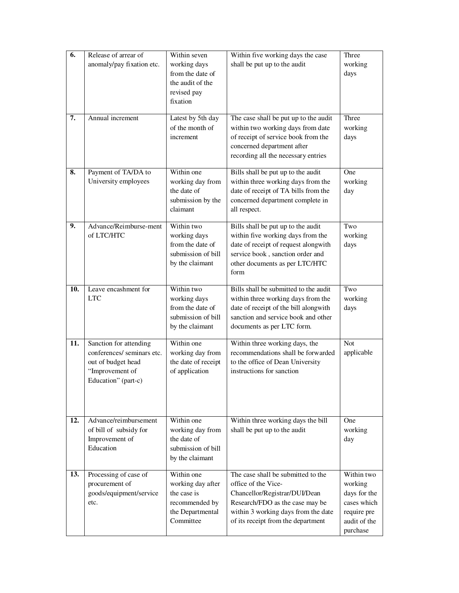| $\overline{6}$ . | Release of arrear of<br>anomaly/pay fixation etc.                                                                    | Within seven<br>working days<br>from the date of<br>the audit of the<br>revised pay<br>fixation   | Within five working days the case<br>shall be put up to the audit                                                                                                                                          | Three<br>working<br>days                                                                        |
|------------------|----------------------------------------------------------------------------------------------------------------------|---------------------------------------------------------------------------------------------------|------------------------------------------------------------------------------------------------------------------------------------------------------------------------------------------------------------|-------------------------------------------------------------------------------------------------|
| 7.               | Annual increment                                                                                                     | Latest by 5th day<br>of the month of<br>increment                                                 | The case shall be put up to the audit<br>within two working days from date<br>of receipt of service book from the<br>concerned department after<br>recording all the necessary entries                     | Three<br>working<br>days                                                                        |
| 8.               | Payment of TA/DA to<br>University employees                                                                          | Within one<br>working day from<br>the date of<br>submission by the<br>claimant                    | Bills shall be put up to the audit<br>within three working days from the<br>date of receipt of TA bills from the<br>concerned department complete in<br>all respect.                                       | One<br>working<br>day                                                                           |
| 9.               | Advance/Reimburse-ment<br>of LTC/HTC                                                                                 | Within two<br>working days<br>from the date of<br>submission of bill<br>by the claimant           | Bills shall be put up to the audit<br>within five working days from the<br>date of receipt of request alongwith<br>service book, sanction order and<br>other documents as per LTC/HTC<br>form              | Two<br>working<br>days                                                                          |
| 10.              | Leave encashment for<br><b>LTC</b>                                                                                   | Within two<br>working days<br>from the date of<br>submission of bill<br>by the claimant           | Bills shall be submitted to the audit<br>within three working days from the<br>date of receipt of the bill alongwith<br>sanction and service book and other<br>documents as per LTC form.                  | Two<br>working<br>days                                                                          |
| 11.              | Sanction for attending<br>conferences/ seminars etc.<br>out of budget head<br>"Improvement of<br>Education" (part-c) | Within one<br>working day from<br>the date of receipt<br>of application                           | Within three working days, the<br>recommendations shall be forwarded<br>to the office of Dean University<br>instructions for sanction                                                                      | Not<br>applicable                                                                               |
| 12.              | Advance/reimbursement<br>of bill of subsidy for<br>Improvement of<br>Education                                       | Within one<br>working day from<br>the date of<br>submission of bill<br>by the claimant            | Within three working days the bill<br>shall be put up to the audit                                                                                                                                         | One<br>working<br>day                                                                           |
| 13.              | Processing of case of<br>procurement of<br>goods/equipment/service<br>etc.                                           | Within one<br>working day after<br>the case is<br>recommended by<br>the Departmental<br>Committee | The case shall be submitted to the<br>office of the Vice-<br>Chancellor/Registrar/DUI/Dean<br>Research/FDO as the case may be<br>within 3 working days from the date<br>of its receipt from the department | Within two<br>working<br>days for the<br>cases which<br>require pre<br>audit of the<br>purchase |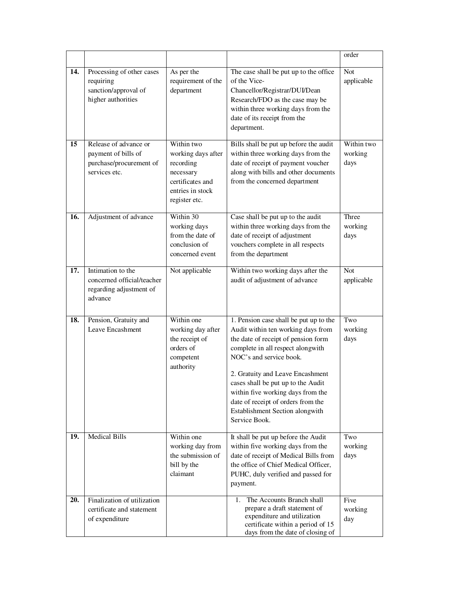|     |                                                                                          |                                                                                                                     |                                                                                                                                                                                                                                                                                                                                                                                              | order                         |
|-----|------------------------------------------------------------------------------------------|---------------------------------------------------------------------------------------------------------------------|----------------------------------------------------------------------------------------------------------------------------------------------------------------------------------------------------------------------------------------------------------------------------------------------------------------------------------------------------------------------------------------------|-------------------------------|
| 14. | Processing of other cases<br>requiring<br>sanction/approval of<br>higher authorities     | As per the<br>requirement of the<br>department                                                                      | The case shall be put up to the office<br>of the Vice-<br>Chancellor/Registrar/DUI/Dean<br>Research/FDO as the case may be<br>within three working days from the<br>date of its receipt from the<br>department.                                                                                                                                                                              | <b>Not</b><br>applicable      |
| 15  | Release of advance or<br>payment of bills of<br>purchase/procurement of<br>services etc. | Within two<br>working days after<br>recording<br>necessary<br>certificates and<br>entries in stock<br>register etc. | Bills shall be put up before the audit<br>within three working days from the<br>date of receipt of payment voucher<br>along with bills and other documents<br>from the concerned department                                                                                                                                                                                                  | Within two<br>working<br>days |
| 16. | Adjustment of advance                                                                    | Within 30<br>working days<br>from the date of<br>conclusion of<br>concerned event                                   | Case shall be put up to the audit<br>within three working days from the<br>date of receipt of adjustment<br>vouchers complete in all respects<br>from the department                                                                                                                                                                                                                         | Three<br>working<br>days      |
| 17. | Intimation to the<br>concerned official/teacher<br>regarding adjustment of<br>advance    | Not applicable                                                                                                      | Within two working days after the<br>audit of adjustment of advance                                                                                                                                                                                                                                                                                                                          | <b>Not</b><br>applicable      |
| 18. | Pension, Gratuity and<br>Leave Encashment                                                | Within one<br>working day after<br>the receipt of<br>orders of<br>competent<br>authority                            | 1. Pension case shall be put up to the<br>Audit within ten working days from<br>the date of receipt of pension form<br>complete in all respect alongwith<br>NOC's and service book.<br>2. Gratuity and Leave Encashment<br>cases shall be put up to the Audit<br>within five working days from the<br>date of receipt of orders from the<br>Establishment Section alongwith<br>Service Book. | Two<br>working<br>days        |
| 19. | <b>Medical Bills</b>                                                                     | Within one<br>working day from<br>the submission of<br>bill by the<br>claimant                                      | It shall be put up before the Audit<br>within five working days from the<br>date of receipt of Medical Bills from<br>the office of Chief Medical Officer,<br>PUHC, duly verified and passed for<br>payment.                                                                                                                                                                                  | Two<br>working<br>days        |
| 20. | Finalization of utilization<br>certificate and statement<br>of expenditure               |                                                                                                                     | The Accounts Branch shall<br>1.<br>prepare a draft statement of<br>expenditure and utilization<br>certificate within a period of 15<br>days from the date of closing of                                                                                                                                                                                                                      | Five<br>working<br>day        |